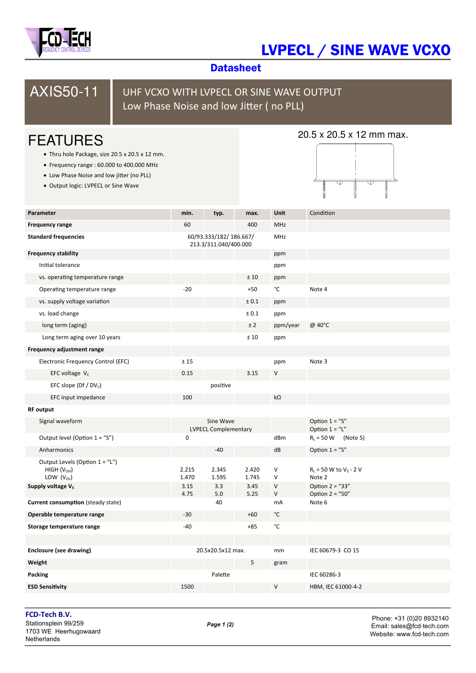

# LVPECL / SINE WAVE VCXO

## **Datasheet**



## UHF VCXO WITH LVPECL OR SINE WAVE OUTPUT Low Phase Noise and low Jitter (no PLL)

# FEATURES

- Thru hole Package, size 20.5 x 20.5 x 12 mm.
- Frequency range : 60.000 to 400.000 MHz
- Low Phase Noise and low jitter (no PLL)
- Output logic: LVPECL or Sine Wave

### 20.5 x 20.5 x 12 mm max.



| Parameter                                                                                           | min.                                            | typ.                  | max.                   | Unit                        | Condition                                                   |
|-----------------------------------------------------------------------------------------------------|-------------------------------------------------|-----------------------|------------------------|-----------------------------|-------------------------------------------------------------|
| <b>Frequency range</b>                                                                              | 60                                              |                       | 400                    | <b>MHz</b>                  |                                                             |
| <b>Standard frequencies</b>                                                                         | 60/93.333/182/186.667/<br>213.3/311.040/400.000 |                       | MHz                    |                             |                                                             |
| <b>Frequency stability</b>                                                                          |                                                 |                       |                        | ppm                         |                                                             |
| Initial tolerance                                                                                   |                                                 |                       |                        | ppm                         |                                                             |
| vs. operating temperature range                                                                     |                                                 |                       | ±10                    | ppm                         |                                                             |
| Operating temperature range                                                                         | $-20$                                           |                       | $+50$                  | °C                          | Note 4                                                      |
| vs. supply voltage variation                                                                        |                                                 |                       | ± 0.1                  | ppm                         |                                                             |
| vs. load change                                                                                     |                                                 |                       | ± 0.1                  | ppm                         |                                                             |
| long term (aging)                                                                                   |                                                 |                       | ± 2                    | ppm/year                    | @ 40°C                                                      |
| Long term aging over 10 years                                                                       |                                                 |                       | $\pm$ 10               | ppm                         |                                                             |
| Frequency adjustment range                                                                          |                                                 |                       |                        |                             |                                                             |
| Electronic Frequency Control (EFC)                                                                  | ±15                                             |                       |                        | ppm                         | Note 3                                                      |
| EFC voltage $V_c$                                                                                   | 0.15                                            |                       | 3.15                   | V                           |                                                             |
| EFC slope (Df / $DV_c$ )                                                                            |                                                 | positive              |                        |                             |                                                             |
| EFC input impedance                                                                                 | 100                                             |                       |                        | $k\Omega$                   |                                                             |
| <b>RF</b> output                                                                                    |                                                 |                       |                        |                             |                                                             |
| Signal waveform                                                                                     | Sine Wave<br><b>LVPECL Complementary</b>        |                       |                        |                             | Option $1 = "S"$<br>Option $1 = "L"$                        |
| Output level (Option $1 =$ "S")                                                                     | $\pmb{0}$                                       |                       |                        | dBm                         | $R_1 = 50 W$ (Note 5)                                       |
| Anharmonics                                                                                         |                                                 | $-40$                 |                        | dB                          | Option $1 = "S"$                                            |
| Output Levels (Option $1 = "L")$<br>HIGH $(VOH)$<br>LOW $(V_{OL})$<br>Supply voltage V <sub>s</sub> | 2.215<br>1.470<br>3.15                          | 2.345<br>1.595<br>3.3 | 2.420<br>1.745<br>3.45 | $\vee$<br>$\vee$<br>$\sf V$ | $R_L$ = 50 W to $V_S$ - 2 V<br>Note 2<br>Option $2 = 433''$ |
|                                                                                                     | 4.75                                            | 5.0                   | 5.25                   | $\vee$                      | Option $2 = 50$ "                                           |
| Current consumption (steady state)                                                                  |                                                 | 40                    |                        | mA                          | Note 6                                                      |
| Operable temperature range                                                                          | $-30$                                           |                       | $+60$                  | $^{\circ}{\rm C}$           |                                                             |
| Storage temperature range                                                                           | $-40$                                           |                       | $+85$                  | °C                          |                                                             |
|                                                                                                     |                                                 |                       |                        |                             |                                                             |
| Enclosure (see drawing)                                                                             |                                                 | 20.5x20.5x12 max.     |                        | mm                          | IEC 60679-3 CO 15                                           |
| Weight                                                                                              |                                                 |                       | 5                      | gram                        |                                                             |
| Packing                                                                                             |                                                 | Palette               |                        |                             | IEC 60286-3                                                 |
| <b>ESD Sensitivity</b>                                                                              | 1500                                            |                       |                        | $\vee$                      | HBM, IEC 61000-4-2                                          |

**FCD‐Tech B.V.**  Stationsplein 99/259 1703 WE Heerhugowaard **Netherlands** 

Phone: +31 (0)20 8932140 Email: sales@fcd‐tech.com Website: www.fcd‐tech.com